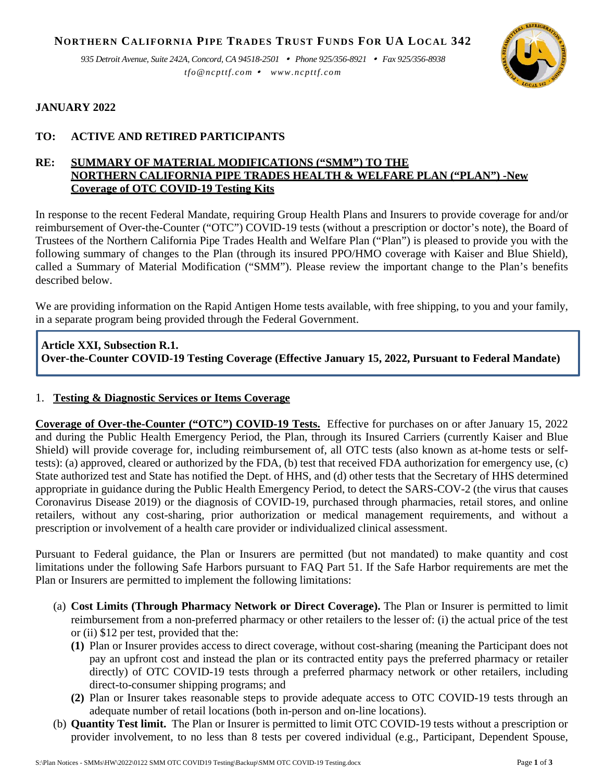**NORTHERN CALIFORNIA PIPE TRADES TRUST FUNDS FOR UA LOCAL 342**

*935 Detroit Avenue, Suite 242A, Concord, CA 94518-2501 Phone 925/356-8921 Fax 925/356-8938 tfo@ncpttf.com www.ncpttf.com*



## **JANUARY 2022**

# **TO: ACTIVE AND RETIRED PARTICIPANTS**

## **RE: SUMMARY OF MATERIAL MODIFICATIONS ("SMM") TO THE NORTHERN CALIFORNIA PIPE TRADES HEALTH & WELFARE PLAN ("PLAN") -New Coverage of OTC COVID-19 Testing Kits**

In response to the recent Federal Mandate, requiring Group Health Plans and Insurers to provide coverage for and/or reimbursement of Over-the-Counter ("OTC") COVID-19 tests (without a prescription or doctor's note), the Board of Trustees of the Northern California Pipe Trades Health and Welfare Plan ("Plan") is pleased to provide you with the following summary of changes to the Plan (through its insured PPO/HMO coverage with Kaiser and Blue Shield), called a Summary of Material Modification ("SMM"). Please review the important change to the Plan's benefits described below.

We are providing information on the Rapid Antigen Home tests available, with free shipping, to you and your family, in a separate program being provided through the Federal Government.

# **Article XXI, Subsection R.1. Over-the-Counter COVID-19 Testing Coverage (Effective January 15, 2022, Pursuant to Federal Mandate)**

## 1. **Testing & Diagnostic Services or Items Coverage**

**Coverage of Over-the-Counter ("OTC") COVID-19 Tests.** Effective for purchases on or after January 15, 2022 and during the Public Health Emergency Period, the Plan, through its Insured Carriers (currently Kaiser and Blue Shield) will provide coverage for, including reimbursement of, all OTC tests (also known as at-home tests or selftests): (a) approved, cleared or authorized by the FDA, (b) test that received FDA authorization for emergency use, (c) State authorized test and State has notified the Dept. of HHS, and (d) other tests that the Secretary of HHS determined appropriate in guidance during the Public Health Emergency Period, to detect the SARS-COV-2 (the virus that causes Coronavirus Disease 2019) or the diagnosis of COVID-19, purchased through pharmacies, retail stores, and online retailers, without any cost-sharing, prior authorization or medical management requirements, and without a prescription or involvement of a health care provider or individualized clinical assessment.

Pursuant to Federal guidance, the Plan or Insurers are permitted (but not mandated) to make quantity and cost limitations under the following Safe Harbors pursuant to FAQ Part 51. If the Safe Harbor requirements are met the Plan or Insurers are permitted to implement the following limitations:

- (a) **Cost Limits (Through Pharmacy Network or Direct Coverage).** The Plan or Insurer is permitted to limit reimbursement from a non-preferred pharmacy or other retailers to the lesser of: (i) the actual price of the test or (ii) \$12 per test, provided that the:
	- **(1)** Plan or Insurer provides access to direct coverage, without cost-sharing (meaning the Participant does not pay an upfront cost and instead the plan or its contracted entity pays the preferred pharmacy or retailer directly) of OTC COVID-19 tests through a preferred pharmacy network or other retailers, including direct-to-consumer shipping programs; and
	- **(2)** Plan or Insurer takes reasonable steps to provide adequate access to OTC COVID-19 tests through an adequate number of retail locations (both in-person and on-line locations).
- (b) **Quantity Test limit.** The Plan or Insurer is permitted to limit OTC COVID-19 tests without a prescription or provider involvement, to no less than 8 tests per covered individual (e.g., Participant, Dependent Spouse,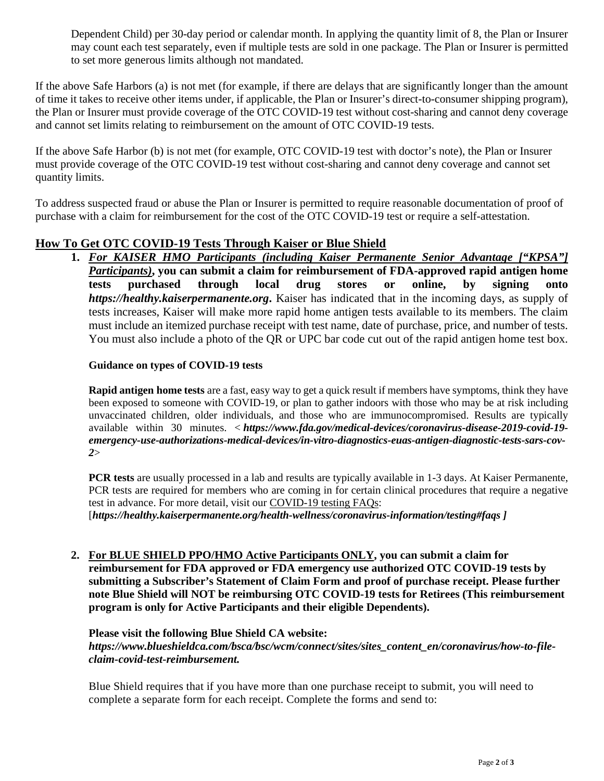Dependent Child) per 30-day period or calendar month. In applying the quantity limit of 8, the Plan or Insurer may count each test separately, even if multiple tests are sold in one package. The Plan or Insurer is permitted to set more generous limits although not mandated.

If the above Safe Harbors (a) is not met (for example, if there are delays that are significantly longer than the amount of time it takes to receive other items under, if applicable, the Plan or Insurer's direct-to-consumer shipping program), the Plan or Insurer must provide coverage of the OTC COVID-19 test without cost-sharing and cannot deny coverage and cannot set limits relating to reimbursement on the amount of OTC COVID-19 tests.

If the above Safe Harbor (b) is not met (for example, OTC COVID-19 test with doctor's note), the Plan or Insurer must provide coverage of the OTC COVID-19 test without cost-sharing and cannot deny coverage and cannot set quantity limits.

To address suspected fraud or abuse the Plan or Insurer is permitted to require reasonable documentation of proof of purchase with a claim for reimbursement for the cost of the OTC COVID-19 test or require a self-attestation.

# **How To Get OTC COVID-19 Tests Through Kaiser or Blue Shield**

**1.** *For KAISER HMO Participants (including Kaiser Permanente Senior Advantage ["KPSA"] Participants)***, you can submit a claim for reimbursement of FDA-approved rapid antigen home tests purchased through local drug stores or online, by signing onto** *[https://healthy.kaiserpermanente.org](https://healthy.kaiserpermanente.org/)***.** Kaiser has indicated that in the incoming days, as supply of tests increases, Kaiser will make more rapid home antigen tests available to its members. The claim must include an itemized purchase receipt with test name, date of purchase, price, and number of tests. You must also include a photo of the QR or UPC bar code cut out of the rapid antigen home test box.

#### **Guidance on types of COVID-19 tests**

**Rapid antigen home tests** are a fast, easy way to get a quick result if members have symptoms, think they have been exposed to someone with COVID-19, or plan to gather indoors with those who may be at risk including unvaccinated children, older individuals, and those who are immunocompromised. Results are typically available within 30 minutes. < *[https://www.fda.gov/medical-devices/coronavirus-disease-2019-covid-19](https://www.fda.gov/medical-devices/coronavirus-disease-2019-covid-19-emergency-use-authorizations-medical-devices/in-vitro-diagnostics-euas-antigen-diagnostic-tests-sars-cov-2) [emergency-use-authorizations-medical-devices/in-vitro-diagnostics-euas-antigen-diagnostic-tests-sars-cov-](https://www.fda.gov/medical-devices/coronavirus-disease-2019-covid-19-emergency-use-authorizations-medical-devices/in-vitro-diagnostics-euas-antigen-diagnostic-tests-sars-cov-2)[2](https://www.fda.gov/medical-devices/coronavirus-disease-2019-covid-19-emergency-use-authorizations-medical-devices/in-vitro-diagnostics-euas-antigen-diagnostic-tests-sars-cov-2)*>

**PCR tests** are usually processed in a lab and results are typically available in 1-3 days. At Kaiser Permanente, PCR tests are required for members who are coming in for certain clinical procedures that require a negative test in advance. For more detail, visit our COVID-19 testing FAQs:

[*[https://healthy.kaiserpermanente.org/health-wellness/coronavirus-information/testing#faqs](https://healthy.kaiserpermanente.org/health-wellness/coronavirus-information/testing) ]*

**2. For BLUE SHIELD PPO/HMO Active Participants ONLY, you can submit a claim for reimbursement for FDA approved or FDA emergency use authorized OTC COVID-19 tests by submitting a Subscriber's Statement of Claim Form and proof of purchase receipt. Please further note Blue Shield will NOT be reimbursing OTC COVID-19 tests for Retirees (This reimbursement program is only for Active Participants and their eligible Dependents).**

## **Please visit the following Blue Shield CA website:**

[https://www.blueshieldca.com/bsca/bsc/wcm/connect/sites/sites\\_content\\_en/coronavirus/how-to-file](https://www.blueshieldca.com/bsca/bsc/wcm/connect/sites/sites_content_en/coronavirus/how-to-file-claim-covid-test-reimbursement)*[claim-covid-test-reimbursement.](https://www.blueshieldca.com/bsca/bsc/wcm/connect/sites/sites_content_en/coronavirus/how-to-file-claim-covid-test-reimbursement)*

Blue Shield requires that if you have more than one purchase receipt to submit, you will need to complete a separate form for each receipt. Complete the forms and send to: